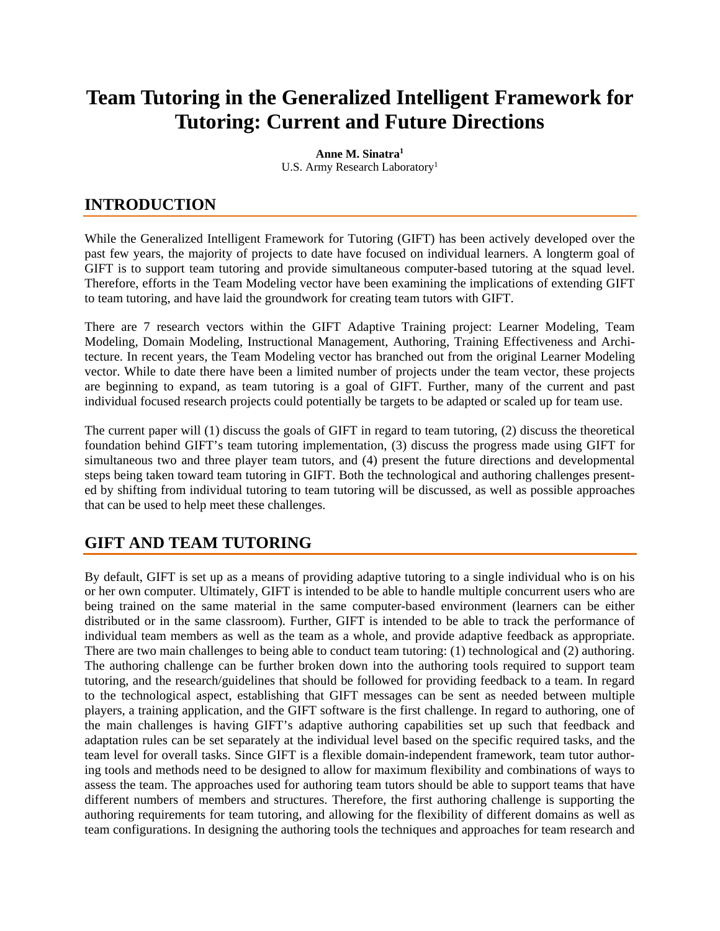# **Team Tutoring in the Generalized Intelligent Framework for Tutoring: Current and Future Directions**

**Anne M. Sinatra1** U.S. Army Research Laboratory<sup>1</sup>

## **INTRODUCTION**

While the Generalized Intelligent Framework for Tutoring (GIFT) has been actively developed over the past few years, the majority of projects to date have focused on individual learners. A longterm goal of GIFT is to support team tutoring and provide simultaneous computer-based tutoring at the squad level. Therefore, efforts in the Team Modeling vector have been examining the implications of extending GIFT to team tutoring, and have laid the groundwork for creating team tutors with GIFT.

There are 7 research vectors within the GIFT Adaptive Training project: Learner Modeling, Team Modeling, Domain Modeling, Instructional Management, Authoring, Training Effectiveness and Architecture. In recent years, the Team Modeling vector has branched out from the original Learner Modeling vector. While to date there have been a limited number of projects under the team vector, these projects are beginning to expand, as team tutoring is a goal of GIFT. Further, many of the current and past individual focused research projects could potentially be targets to be adapted or scaled up for team use.

The current paper will (1) discuss the goals of GIFT in regard to team tutoring, (2) discuss the theoretical foundation behind GIFT's team tutoring implementation, (3) discuss the progress made using GIFT for simultaneous two and three player team tutors, and (4) present the future directions and developmental steps being taken toward team tutoring in GIFT. Both the technological and authoring challenges presented by shifting from individual tutoring to team tutoring will be discussed, as well as possible approaches that can be used to help meet these challenges.

### **GIFT AND TEAM TUTORING**

By default, GIFT is set up as a means of providing adaptive tutoring to a single individual who is on his or her own computer. Ultimately, GIFT is intended to be able to handle multiple concurrent users who are being trained on the same material in the same computer-based environment (learners can be either distributed or in the same classroom). Further, GIFT is intended to be able to track the performance of individual team members as well as the team as a whole, and provide adaptive feedback as appropriate. There are two main challenges to being able to conduct team tutoring: (1) technological and (2) authoring. The authoring challenge can be further broken down into the authoring tools required to support team tutoring, and the research/guidelines that should be followed for providing feedback to a team. In regard to the technological aspect, establishing that GIFT messages can be sent as needed between multiple players, a training application, and the GIFT software is the first challenge. In regard to authoring, one of the main challenges is having GIFT's adaptive authoring capabilities set up such that feedback and adaptation rules can be set separately at the individual level based on the specific required tasks, and the team level for overall tasks. Since GIFT is a flexible domain-independent framework, team tutor authoring tools and methods need to be designed to allow for maximum flexibility and combinations of ways to assess the team. The approaches used for authoring team tutors should be able to support teams that have different numbers of members and structures. Therefore, the first authoring challenge is supporting the authoring requirements for team tutoring, and allowing for the flexibility of different domains as well as team configurations. In designing the authoring tools the techniques and approaches for team research and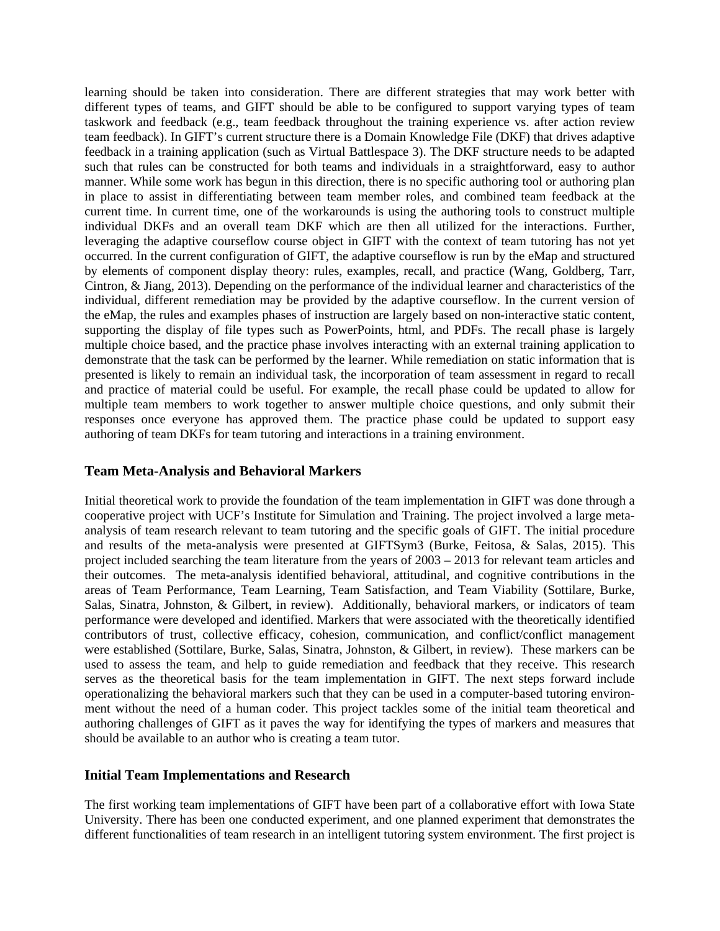learning should be taken into consideration. There are different strategies that may work better with different types of teams, and GIFT should be able to be configured to support varying types of team taskwork and feedback (e.g., team feedback throughout the training experience vs. after action review team feedback). In GIFT's current structure there is a Domain Knowledge File (DKF) that drives adaptive feedback in a training application (such as Virtual Battlespace 3). The DKF structure needs to be adapted such that rules can be constructed for both teams and individuals in a straightforward, easy to author manner. While some work has begun in this direction, there is no specific authoring tool or authoring plan in place to assist in differentiating between team member roles, and combined team feedback at the current time. In current time, one of the workarounds is using the authoring tools to construct multiple individual DKFs and an overall team DKF which are then all utilized for the interactions. Further, leveraging the adaptive courseflow course object in GIFT with the context of team tutoring has not yet occurred. In the current configuration of GIFT, the adaptive courseflow is run by the eMap and structured by elements of component display theory: rules, examples, recall, and practice (Wang, Goldberg, Tarr, Cintron, & Jiang, 2013). Depending on the performance of the individual learner and characteristics of the individual, different remediation may be provided by the adaptive courseflow. In the current version of the eMap, the rules and examples phases of instruction are largely based on non-interactive static content, supporting the display of file types such as PowerPoints, html, and PDFs. The recall phase is largely multiple choice based, and the practice phase involves interacting with an external training application to demonstrate that the task can be performed by the learner. While remediation on static information that is presented is likely to remain an individual task, the incorporation of team assessment in regard to recall and practice of material could be useful. For example, the recall phase could be updated to allow for multiple team members to work together to answer multiple choice questions, and only submit their responses once everyone has approved them. The practice phase could be updated to support easy authoring of team DKFs for team tutoring and interactions in a training environment.

#### **Team Meta-Analysis and Behavioral Markers**

Initial theoretical work to provide the foundation of the team implementation in GIFT was done through a cooperative project with UCF's Institute for Simulation and Training. The project involved a large metaanalysis of team research relevant to team tutoring and the specific goals of GIFT. The initial procedure and results of the meta-analysis were presented at GIFTSym3 (Burke, Feitosa, & Salas, 2015). This project included searching the team literature from the years of 2003 – 2013 for relevant team articles and their outcomes. The meta-analysis identified behavioral, attitudinal, and cognitive contributions in the areas of Team Performance, Team Learning, Team Satisfaction, and Team Viability (Sottilare, Burke, Salas, Sinatra, Johnston, & Gilbert, in review). Additionally, behavioral markers, or indicators of team performance were developed and identified. Markers that were associated with the theoretically identified contributors of trust, collective efficacy, cohesion, communication, and conflict/conflict management were established (Sottilare, Burke, Salas, Sinatra, Johnston, & Gilbert, in review). These markers can be used to assess the team, and help to guide remediation and feedback that they receive. This research serves as the theoretical basis for the team implementation in GIFT. The next steps forward include operationalizing the behavioral markers such that they can be used in a computer-based tutoring environment without the need of a human coder. This project tackles some of the initial team theoretical and authoring challenges of GIFT as it paves the way for identifying the types of markers and measures that should be available to an author who is creating a team tutor.

#### **Initial Team Implementations and Research**

The first working team implementations of GIFT have been part of a collaborative effort with Iowa State University. There has been one conducted experiment, and one planned experiment that demonstrates the different functionalities of team research in an intelligent tutoring system environment. The first project is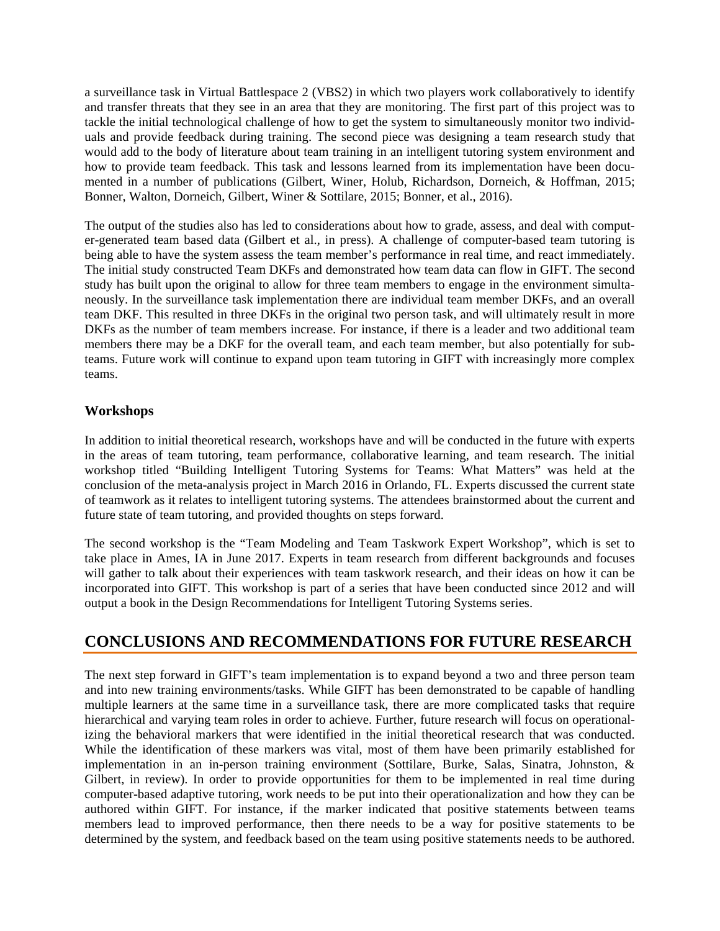a surveillance task in Virtual Battlespace 2 (VBS2) in which two players work collaboratively to identify and transfer threats that they see in an area that they are monitoring. The first part of this project was to tackle the initial technological challenge of how to get the system to simultaneously monitor two individuals and provide feedback during training. The second piece was designing a team research study that would add to the body of literature about team training in an intelligent tutoring system environment and how to provide team feedback. This task and lessons learned from its implementation have been documented in a number of publications (Gilbert, Winer, Holub, Richardson, Dorneich, & Hoffman, 2015; Bonner, Walton, Dorneich, Gilbert, Winer & Sottilare, 2015; Bonner, et al., 2016).

The output of the studies also has led to considerations about how to grade, assess, and deal with computer-generated team based data (Gilbert et al., in press). A challenge of computer-based team tutoring is being able to have the system assess the team member's performance in real time, and react immediately. The initial study constructed Team DKFs and demonstrated how team data can flow in GIFT. The second study has built upon the original to allow for three team members to engage in the environment simultaneously. In the surveillance task implementation there are individual team member DKFs, and an overall team DKF. This resulted in three DKFs in the original two person task, and will ultimately result in more DKFs as the number of team members increase. For instance, if there is a leader and two additional team members there may be a DKF for the overall team, and each team member, but also potentially for subteams. Future work will continue to expand upon team tutoring in GIFT with increasingly more complex teams.

#### **Workshops**

In addition to initial theoretical research, workshops have and will be conducted in the future with experts in the areas of team tutoring, team performance, collaborative learning, and team research. The initial workshop titled "Building Intelligent Tutoring Systems for Teams: What Matters" was held at the conclusion of the meta-analysis project in March 2016 in Orlando, FL. Experts discussed the current state of teamwork as it relates to intelligent tutoring systems. The attendees brainstormed about the current and future state of team tutoring, and provided thoughts on steps forward.

The second workshop is the "Team Modeling and Team Taskwork Expert Workshop", which is set to take place in Ames, IA in June 2017. Experts in team research from different backgrounds and focuses will gather to talk about their experiences with team taskwork research, and their ideas on how it can be incorporated into GIFT. This workshop is part of a series that have been conducted since 2012 and will output a book in the Design Recommendations for Intelligent Tutoring Systems series.

### **CONCLUSIONS AND RECOMMENDATIONS FOR FUTURE RESEARCH**

The next step forward in GIFT's team implementation is to expand beyond a two and three person team and into new training environments/tasks. While GIFT has been demonstrated to be capable of handling multiple learners at the same time in a surveillance task, there are more complicated tasks that require hierarchical and varying team roles in order to achieve. Further, future research will focus on operationalizing the behavioral markers that were identified in the initial theoretical research that was conducted. While the identification of these markers was vital, most of them have been primarily established for implementation in an in-person training environment (Sottilare, Burke, Salas, Sinatra, Johnston, & Gilbert, in review). In order to provide opportunities for them to be implemented in real time during computer-based adaptive tutoring, work needs to be put into their operationalization and how they can be authored within GIFT. For instance, if the marker indicated that positive statements between teams members lead to improved performance, then there needs to be a way for positive statements to be determined by the system, and feedback based on the team using positive statements needs to be authored.